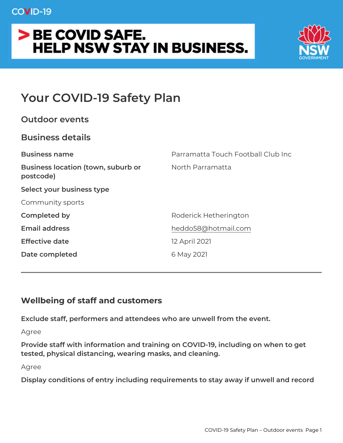# Your COVID-19 Safety Plan

| Outdoor events                                               |                                    |
|--------------------------------------------------------------|------------------------------------|
| Business details                                             |                                    |
| Business name                                                | Parramatta Touch Football Club Inc |
| Business location (town, suburbNorth Parramatta<br>postcode) |                                    |
| Select your business type                                    |                                    |
| Community sports                                             |                                    |
| Completed by                                                 | Roderick Hetherington              |
| Email address                                                | heddo58@hotmail.com                |
| Effective date                                               | 12 April 2021                      |
| Date completed                                               | 6 May 2021                         |
|                                                              |                                    |

Wellbeing of staff and customers

Exclude staff, performers and attendees who are unwell from the e Agree

Provide staff with information and training on COVID-19, including tested, physical distancing, wearing masks, and cleaning.

Agree

Display conditions of entry including requirements to stay away if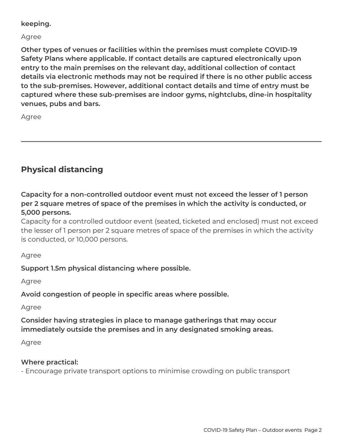#### **keeping.**

#### Agree

**Other types of venues or facilities within the premises must complete COVID-19 Safety Plans where applicable. If contact details are captured electronically upon entry to the main premises on the relevant day, additional collection of contact details via electronic methods may not be required if there is no other public access to the sub-premises. However, additional contact details and time of entry must be captured where these sub-premises are indoor gyms, nightclubs, dine-in hospitality venues, pubs and bars.**

Agree

## **Physical distancing**

**Capacity for a non-controlled outdoor event must not exceed the lesser of 1 person per 2 square metres of space of the premises in which the activity is conducted, or 5,000 persons.**

Capacity for a controlled outdoor event (seated, ticketed and enclosed) must not exceed the lesser of 1 person per 2 square metres of space of the premises in which the activity is conducted, or 10,000 persons.

Agree

### **Support 1.5m physical distancing where possible.**

Agree

**Avoid congestion of people in specific areas where possible.**

Agree

### **Consider having strategies in place to manage gatherings that may occur immediately outside the premises and in any designated smoking areas.**

Agree

### **Where practical:**

- Encourage private transport options to minimise crowding on public transport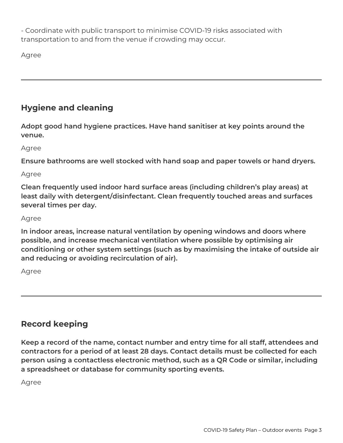- Coordinate with public transport to minimise COVID-19 risks associated with transportation to and from the venue if crowding may occur.

Agree

## **Hygiene and cleaning**

**Adopt good hand hygiene practices. Have hand sanitiser at key points around the venue.**

Agree

**Ensure bathrooms are well stocked with hand soap and paper towels or hand dryers.**

Agree

**Clean frequently used indoor hard surface areas (including children's play areas) at least daily with detergent/disinfectant. Clean frequently touched areas and surfaces several times per day.**

#### Agree

**In indoor areas, increase natural ventilation by opening windows and doors where possible, and increase mechanical ventilation where possible by optimising air conditioning or other system settings (such as by maximising the intake of outside air and reducing or avoiding recirculation of air).**

Agree

## **Record keeping**

**Keep a record of the name, contact number and entry time for all staff, attendees and contractors for a period of at least 28 days. Contact details must be collected for each person using a contactless electronic method, such as a QR Code or similar, including a spreadsheet or database for community sporting events.**

Agree